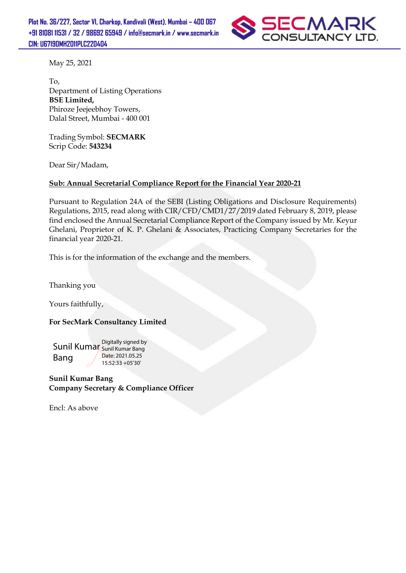

May 25, 2021

To, Department of Listing Operations **BSE Limited,**  Phiroze Jeejeebhoy Towers, Dalal Street, Mumbai - 400 001

Trading Symbol: **SECMARK** Scrip Code: **543234**

Dear Sir/Madam,

### **Sub: Annual Secretarial Compliance Report for the Financial Year 2020-21**

Pursuant to Regulation 24A of the SEBI (Listing Obligations and Disclosure Requirements) Regulations, 2015, read along with CIR/CFD/CMD1/27/2019 dated February 8, 2019, please find enclosed the Annual Secretarial Compliance Report of the Company issued by Mr. Keyur Ghelani, Proprietor of K. P. Ghelani & Associates, Practicing Company Secretaries for the financial year 2020-21.

This is for the information of the exchange and the members.

Thanking you

Yours faithfully,

### **For SecMark Consultancy Limited**

Sunil Kumar Sunil Kumar Bang Bang Digitally signed by Date: 2021.05.25 15:52:33 +05'30'

**Sunil Kumar Bang Company Secretary & Compliance Officer**

Encl: As above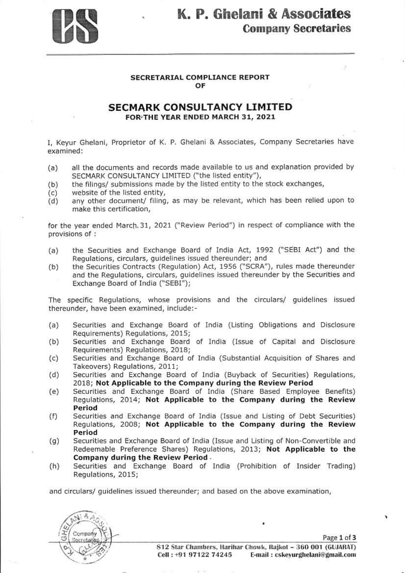

# K. P. Ghelani & Associates **Company Secretaries**

#### **SECRETARIAL COMPLIANCE REPORT** OF

### **SECMARK CONSULTANCY LIMITED** FOR THE YEAR ENDED MARCH 31, 2021

I, Keyur Ghelani, Proprietor of K. P. Ghelani & Associates, Company Secretaries have examined:

- all the documents and records made available to us and explanation provided by  $(a)$ SECMARK CONSULTANCY LIMITED ("the listed entity"),
- the filings/ submissions made by the listed entity to the stock exchanges,  $(b)$
- website of the listed entity,  $(c)$
- any other document/ filing, as may be relevant, which has been relied upon to  $(d)$ make this certification,

for the year ended March 31, 2021 ("Review Period") in respect of compliance with the provisions of :

- the Securities and Exchange Board of India Act, 1992 ("SEBI Act") and the  $(a)$ Regulations, circulars, guidelines issued thereunder; and
- the Securities Contracts (Regulation) Act, 1956 ("SCRA"), rules made thereunder  $(b)$ and the Regulations, circulars, quidelines issued thereunder by the Securities and Exchange Board of India ("SEBI");

The specific Regulations, whose provisions and the circulars/ guidelines issued thereunder, have been examined, include:-

- $(a)$ Securities and Exchange Board of India (Listing Obligations and Disclosure Requirements) Regulations, 2015;
- Securities and Exchange Board of India (Issue of Capital and Disclosure  $(b)$ Requirements) Regulations, 2018;
- Securities and Exchange Board of India (Substantial Acquisition of Shares and  $(c)$ Takeovers) Regulations, 2011;
- Securities and Exchange Board of India (Buyback of Securities) Regulations,  $(d)$ 2018; Not Applicable to the Company during the Review Period
- Securities and Exchange Board of India (Share Based Employee Benefits)  $(e)$ Regulations, 2014; Not Applicable to the Company during the Review Period
- $(f)$ Securities and Exchange Board of India (Issue and Listing of Debt Securities) Regulations, 2008; Not Applicable to the Company during the Review Period
- Securities and Exchange Board of India (Issue and Listing of Non-Convertible and  $(g)$ Redeemable Preference Shares) Regulations, 2013; Not Applicable to the Company during the Review Period.
- Securities and Exchange Board of India (Prohibition of Insider Trading)  $(h)$ Regulations, 2015;

and circulars/ quidelines issued thereunder; and based on the above examination,

Company Secretanas

۷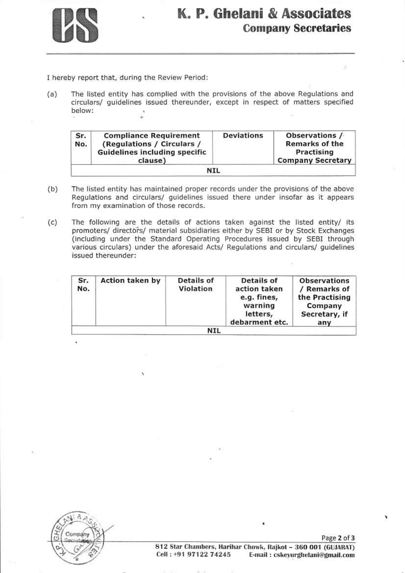

# K. P. Ghelani & Associates **Company Secretaries**

I hereby report that, during the Review Period:

The listed entity has complied with the provisions of the above Regulations and  $(a)$ circulars/ guidelines issued thereunder, except in respect of matters specified below:

| Sr.<br><b>Compliance Requirement</b><br>(Regulations / Circulars /<br>No.<br><b>Guidelines including specific</b><br>clause) |            | <b>Deviations</b> | Observations /<br><b>Remarks of the</b><br>Practising<br><b>Company Secretary</b> |
|------------------------------------------------------------------------------------------------------------------------------|------------|-------------------|-----------------------------------------------------------------------------------|
|                                                                                                                              | <b>NIL</b> |                   |                                                                                   |

- $(b)$ The listed entity has maintained proper records under the provisions of the above Regulations and circulars/ guidelines issued there under insofar as it appears from my examination of those records.
- $(c)$ The following are the details of actions taken against the listed entity/ its promoters/ directors/ material subsidiaries either by SEBI or by Stock Exchanges (including under the Standard Operating Procedures issued by SEBI through various circulars) under the aforesaid Acts/ Regulations and circulars/ guidelines issued thereunder:

| Sr.<br>No. | <b>Action taken by</b> | <b>Details of</b><br>Violation | <b>Details of</b><br>action taken<br>e.g. fines,<br>warning<br>letters,<br>debarment etc. | <b>Observations</b><br>/ Remarks of<br>the Practising<br>Company<br>Secretary, if<br>any |
|------------|------------------------|--------------------------------|-------------------------------------------------------------------------------------------|------------------------------------------------------------------------------------------|
|            |                        | NIL                            |                                                                                           |                                                                                          |